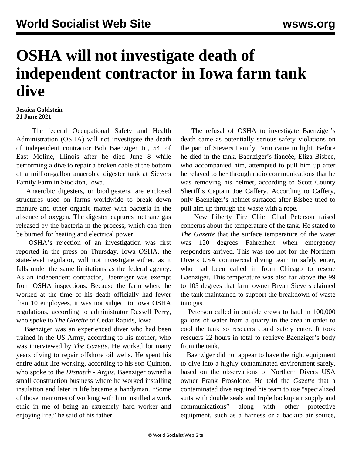## **OSHA will not investigate death of independent contractor in Iowa farm tank dive**

## **Jessica Goldstein 21 June 2021**

 The federal Occupational Safety and Health Administration (OSHA) will not investigate the death of independent contractor Bob Baenziger Jr., 54, of East Moline, Illinois after he died June 8 while performing a dive to repair a broken cable at the bottom of a million-gallon anaerobic digester tank at Sievers Family Farm in Stockton, Iowa.

 Anaerobic digesters, or biodigesters, are enclosed structures used on farms worldwide to break down manure and other organic matter with bacteria in the absence of oxygen. The digester captures methane gas released by the bacteria in the process, which can then be burned for heating and electrical power.

 OSHA's rejection of an investigation was first reported in the press on Thursday. Iowa OSHA, the state-level regulator, will not investigate either, as it falls under the same limitations as the federal agency. As an independent contractor, Baenziger was exempt from OSHA inspections. Because the farm where he worked at the time of his death officially had fewer than 10 employees, it was not subject to Iowa OSHA regulations, according to administrator Russell Perry, who spoke to *The Gazette* of Cedar Rapids, Iowa *.*

 Baenziger was an experienced diver who had been trained in the US Army, according to his mother, who was interviewed by *The Gazette*. He worked for many years diving to repair offshore oil wells. He spent his entire adult life working, according to his son Quinton, who spoke to the *Dispatch - Argus.* Baenziger owned a small construction business where he worked installing insulation and later in life became a handyman. "Some of those memories of working with him instilled a work ethic in me of being an extremely hard worker and enjoying life," he said of his father.

 The refusal of OSHA to investigate Baenziger's death came as potentially serious safety violations on the part of Sievers Family Farm came to light. Before he died in the tank, Baenziger's fiancée, Eliza Bisbee, who accompanied him, attempted to pull him up after he relayed to her through radio communications that he was removing his helmet, according to Scott County Sheriff's Captain Joe Caffery. According to Caffery, only Baenziger's helmet surfaced after Bisbee tried to pull him up through the waste with a rope.

 New Liberty Fire Chief Chad Peterson raised concerns about the temperature of the tank. He stated to *The Gazette* that the surface temperature of the water was 120 degrees Fahrenheit when emergency responders arrived. This was too hot for the Northern Divers USA commercial diving team to safely enter, who had been called in from Chicago to rescue Baenziger. This temperature was also far above the 99 to 105 degrees that farm owner Bryan Sievers claimed the tank maintained to support the breakdown of waste into gas.

 Peterson called in outside crews to haul in 100,000 gallons of water from a quarry in the area in order to cool the tank so rescuers could safely enter. It took rescuers 22 hours in total to retrieve Baenziger's body from the tank.

 Baenziger did not appear to have the right equipment to dive into a highly contaminated environment safely, based on the observations of Northern Divers USA owner Frank Frosolone. He told the *Gazette* that a contaminated dive required his team to use "specialized suits with double seals and triple backup air supply and communications" along with other protective equipment, such as a harness or a backup air source,